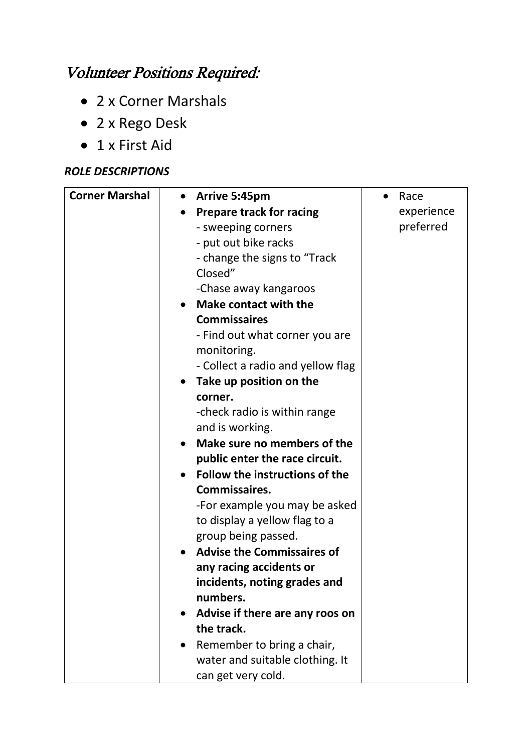## Volunteer Positions Required:

- 2 x Corner Marshals
- 2 x Rego Desk
- 1 x First Aid

## *ROLE DESCRIPTIONS*

| <b>Corner Marshal</b> | <b>Arrive 5:45pm</b><br>$\bullet$           | Race       |
|-----------------------|---------------------------------------------|------------|
|                       | <b>Prepare track for racing</b>             | experience |
|                       | - sweeping corners                          | preferred  |
|                       | - put out bike racks                        |            |
|                       | - change the signs to "Track                |            |
|                       | Closed"                                     |            |
|                       | -Chase away kangaroos                       |            |
|                       | Make contact with the                       |            |
|                       | <b>Commissaires</b>                         |            |
|                       | - Find out what corner you are              |            |
|                       | monitoring.                                 |            |
|                       | - Collect a radio and yellow flag           |            |
|                       | Take up position on the<br>$\bullet$        |            |
|                       | corner.                                     |            |
|                       | -check radio is within range                |            |
|                       | and is working.                             |            |
|                       | Make sure no members of the                 |            |
|                       | public enter the race circuit.              |            |
|                       | Follow the instructions of the<br>$\bullet$ |            |
|                       | Commissaires.                               |            |
|                       | -For example you may be asked               |            |
|                       | to display a yellow flag to a               |            |
|                       | group being passed.                         |            |
|                       | <b>Advise the Commissaires of</b>           |            |
|                       | any racing accidents or                     |            |
|                       | incidents, noting grades and                |            |
|                       | numbers.                                    |            |
|                       | Advise if there are any roos on             |            |
|                       | the track.                                  |            |
|                       | Remember to bring a chair,                  |            |
|                       | water and suitable clothing. It             |            |
|                       | can get very cold.                          |            |